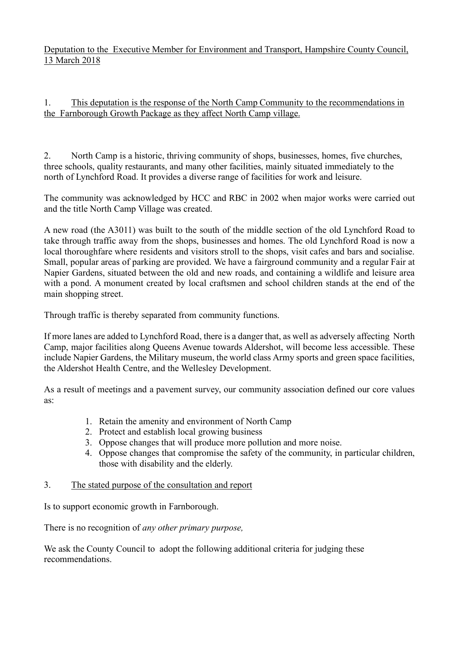Deputation to the Executive Member for Environment and Transport, Hampshire County Council, 13 March 2018

1. This deputation is the response of the North Camp Community to the recommendations in the Farnborough Growth Package as they affect North Camp village.

2. North Camp is a historic, thriving community of shops, businesses, homes, five churches, three schools, quality restaurants, and many other facilities, mainly situated immediately to the north of Lynchford Road. It provides a diverse range of facilities for work and leisure.

The community was acknowledged by HCC and RBC in 2002 when major works were carried out and the title North Camp Village was created.

A new road (the A3011) was built to the south of the middle section of the old Lynchford Road to take through traffic away from the shops, businesses and homes. The old Lynchford Road is now a local thoroughfare where residents and visitors stroll to the shops, visit cafes and bars and socialise. Small, popular areas of parking are provided. We have a fairground community and a regular Fair at Napier Gardens, situated between the old and new roads, and containing a wildlife and leisure area with a pond. A monument created by local craftsmen and school children stands at the end of the main shopping street.

Through traffic is thereby separated from community functions.

If more lanes are added to Lynchford Road, there is a danger that, as well as adversely affecting North Camp, major facilities along Queens Avenue towards Aldershot, will become less accessible. These include Napier Gardens, the Military museum, the world class Army sports and green space facilities, the Aldershot Health Centre, and the Wellesley Development.

As a result of meetings and a pavement survey, our community association defined our core values as:

- 1. Retain the amenity and environment of North Camp
- 2. Protect and establish local growing business
- 3. Oppose changes that will produce more pollution and more noise.
- 4. Oppose changes that compromise the safety of the community, in particular children, those with disability and the elderly.

## 3. The stated purpose of the consultation and report

Is to support economic growth in Farnborough.

There is no recognition of *any other primary purpose,*

We ask the County Council to adopt the following additional criteria for judging these recommendations.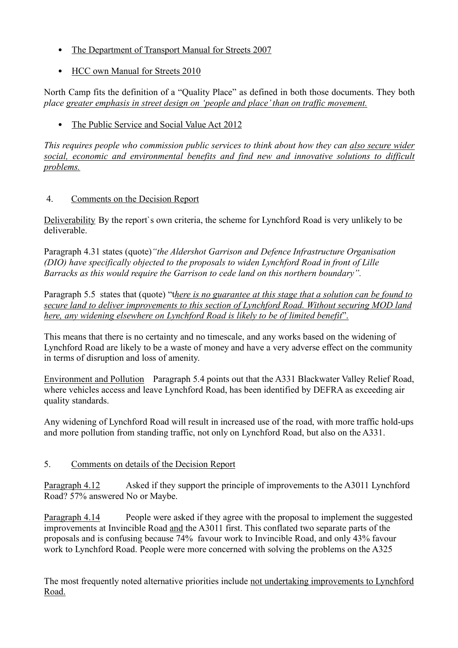- The Department of Transport Manual for Streets 2007
- HCC own Manual for Streets 2010

North Camp fits the definition of a "Quality Place" as defined in both those documents. They both *place greater emphasis in street design on 'people and place' than on traffic movement.*

• The Public Service and Social Value Act 2012

*This requires people who commission public services to think about how they can also secure wider social, economic and environmental benefits and find new and innovative solutions to difficult problems.*

# 4. Comments on the Decision Report

Deliverability By the report`s own criteria, the scheme for Lynchford Road is very unlikely to be deliverable.

Paragraph 4.31 states (quote)*"the Aldershot Garrison and Defence Infrastructure Organisation (DIO) have specifically objected to the proposals to widen Lynchford Road in front of Lille Barracks as this would require the Garrison to cede land on this northern boundary".*

Paragraph 5.5 states that (quote) "t*here is no guarantee at this stage that a solution can be found to secure land to deliver improvements to this section of Lynchford Road. Without securing MOD land here, any widening elsewhere on Lynchford Road is likely to be of limited benefit*".

This means that there is no certainty and no timescale, and any works based on the widening of Lynchford Road are likely to be a waste of money and have a very adverse effect on the community in terms of disruption and loss of amenity.

Environment and Pollution Paragraph 5.4 points out that the A331 Blackwater Valley Relief Road, where vehicles access and leave Lynchford Road, has been identified by DEFRA as exceeding air quality standards.

Any widening of Lynchford Road will result in increased use of the road, with more traffic hold-ups and more pollution from standing traffic, not only on Lynchford Road, but also on the A331.

# 5. Comments on details of the Decision Report

Paragraph 4.12 Asked if they support the principle of improvements to the A3011 Lynchford Road? 57% answered No or Maybe.

Paragraph 4.14 People were asked if they agree with the proposal to implement the suggested improvements at Invincible Road and the A3011 first. This conflated two separate parts of the proposals and is confusing because 74% favour work to Invincible Road, and only 43% favour work to Lynchford Road. People were more concerned with solving the problems on the A325

The most frequently noted alternative priorities include not undertaking improvements to Lynchford Road.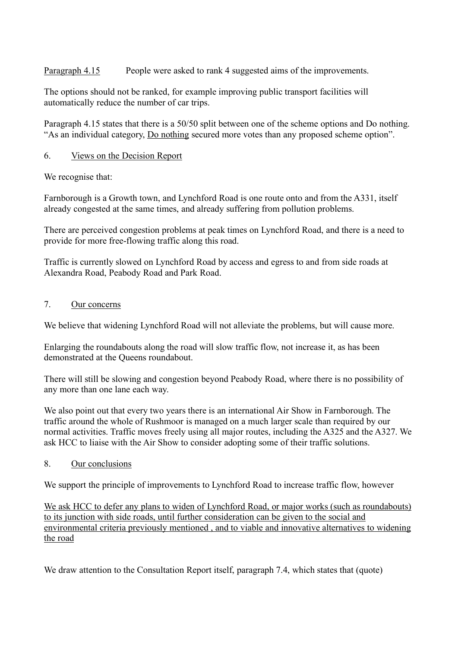Paragraph 4.15 People were asked to rank 4 suggested aims of the improvements.

The options should not be ranked, for example improving public transport facilities will automatically reduce the number of car trips.

Paragraph 4.15 states that there is a 50/50 split between one of the scheme options and Do nothing. "As an individual category, Do nothing secured more votes than any proposed scheme option".

# 6. Views on the Decision Report

We recognise that:

Farnborough is a Growth town, and Lynchford Road is one route onto and from the A331, itself already congested at the same times, and already suffering from pollution problems.

There are perceived congestion problems at peak times on Lynchford Road, and there is a need to provide for more free-flowing traffic along this road.

Traffic is currently slowed on Lynchford Road by access and egress to and from side roads at Alexandra Road, Peabody Road and Park Road.

## 7. Our concerns

We believe that widening Lynchford Road will not alleviate the problems, but will cause more.

Enlarging the roundabouts along the road will slow traffic flow, not increase it, as has been demonstrated at the Queens roundabout.

There will still be slowing and congestion beyond Peabody Road, where there is no possibility of any more than one lane each way.

We also point out that every two years there is an international Air Show in Farnborough. The traffic around the whole of Rushmoor is managed on a much larger scale than required by our normal activities. Traffic moves freely using all major routes, including the A325 and the A327. We ask HCC to liaise with the Air Show to consider adopting some of their traffic solutions.

## 8. Our conclusions

We support the principle of improvements to Lynchford Road to increase traffic flow, however

We ask HCC to defer any plans to widen of Lynchford Road, or major works (such as roundabouts) to its junction with side roads, until further consideration can be given to the social and environmental criteria previously mentioned , and to viable and innovative alternatives to widening the road

We draw attention to the Consultation Report itself, paragraph 7.4, which states that (quote)